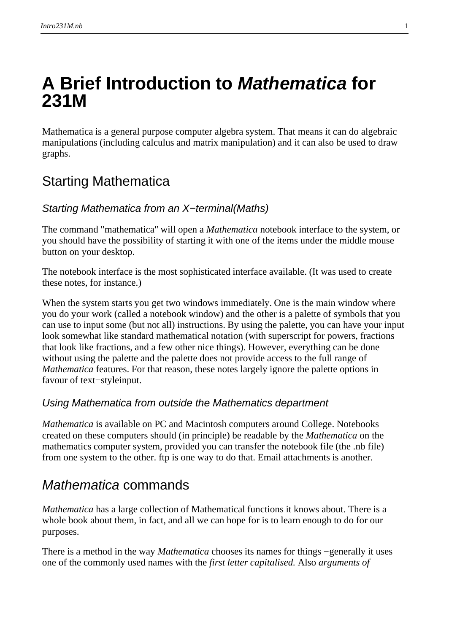# **A Brief Introduction to Mathematica for 231M**

Mathematica is a general purpose computer algebra system. That means it can do algebraic manipulations (including calculus and matrix manipulation) and it can also be used to draw graphs.

## Starting Mathematica

#### Starting Mathematica from an X–terminal (Maths)

The command "mathematica" will open a *Mathematica* notebook interface to the system, or you should have the possibility of starting it with one of the items under the middle mouse button on your desktop.

The notebook interface is the most sophisticated interface available. (It was used to create these notes, for instance.)

When the system starts you get two windows immediately. One is the main window where you do your work (called a notebook window) and the other is a palette of symbols that you can use to input some (but not all) instructions. By using the palette, you can have your input look somewhat like standard mathematical notation (with superscript for powers, fractions that look like fractions, and a few other nice things). However, everything can be done without using the palette and the palette does not provide access to the full range of *Mathematica* features. For that reason, these notes largely ignore the palette options in favour of text–styleinput.

#### Using Mathematica from outside the Mathematics department

*Mathematica* is available on PC and Macintosh computers around College. Notebooks created on these computers should (in principle) be readable by the *Mathematica* on the mathematics computer system, provided you can transfer the notebook file (the .nb file) from one system to the other. ftp is one way to do that. Email attachments is another.

### Mathematica commands

*Mathematica* has a large collection of Mathematical functions it knows about. There is a whole book about them, in fact, and all we can hope for is to learn enough to do for our purposes.

There is a method in the way *Mathematica* chooses its names for things –generally it uses one of the commonly used names with the *first letter capitalised*. Also *arguments of*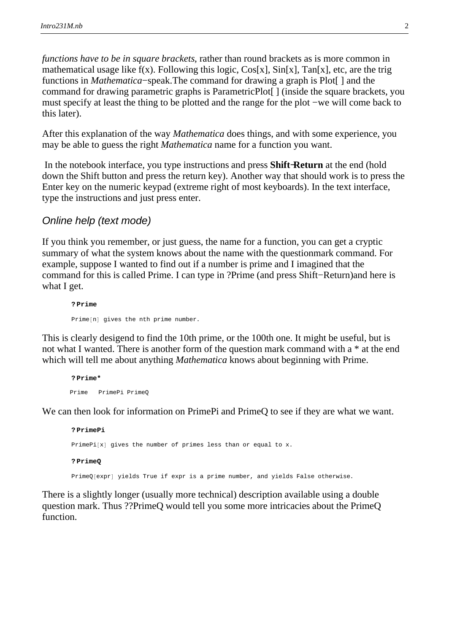*functions have to be in square brackets*, rather than round brackets as is more common in mathematical usage like  $f(x)$ . Following this logic,  $Cos[x]$ ,  $Sin[x]$ ,  $Tan[x]$ , etc, are the trig functions in *Mathematica*−speak. The command for drawing a graph is Plot[ ] and the command for drawing parametric graphs is ParametricPlot[ ] (inside the square brackets, you must specify at least the thing to be plotted and the range for the plot − we will come back to this later).

There is a method in the way *Mathematica* chooses its names for things − generally it uses

After this explanation of the way *Mathematica* does things, and with some experience, you may be able to guess the right *Mathematica* name for a function you want.

 In the notebook interface, you type instructions and press **Shift−Return** at the end (hold down the Shift button and press the return key). Another way that should work is to press the Enter key on the numeric keypad (extreme right of most keyboards). In the text interface, type the instructions and just press enter.

#### Online help (text mode)

If you think you remember, or just guess, the name for a function, you can get a cryptic summary of what the system knows about the name with the questionmark command. For example, suppose I wanted to find out if a number is prime and I imagined that the command for this is called Prime. I can type in ?Prime (and press Shift−Return) and here is what I get.

**? Prime** Prime[n] gives the nth prime number.

This is clearly desigend to find the 10th prime, or the 100th one. It might be useful, but is not what I wanted. There is another form of the question mark command with a \* at the end which will tell me about anything *Mathematica* knows about beginning with Prime.

**? Prime\*** Prime PrimePi PrimeQ

We can then look for information on PrimePi and PrimeQ to see if they are what we want.

**? PrimePi** PrimePi $[x]$  gives the number of primes less than or equal to x. **? PrimeQ**

PrimeQ[expr] yields True if expr is a prime number, and yields False otherwise.

There is a slightly longer (usually more technical) description available using a double question mark. Thus ??PrimeQ would tell you some more intricacies about the PrimeQ function.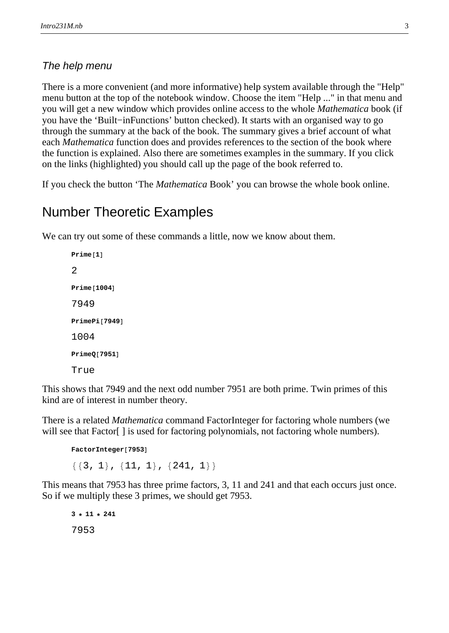#### The help menu

There is a more convenient (and more informative) help system available through the "Help" menu button at the top of the notebook window. Choose the item "Help ..." in that menu and you will get a new window which provides online access to the whole *Mathematica* book (if you have the 'Built−in Functions' button checked). It starts with an organised way to go through the summary at the back of the book. The summary gives a brief account of what each *Mathematica* function does and provides references to the section of the book where the function is explained. Also there are sometimes examples in the summary. If you click on the links (highlighted) you should call up the page of the book referred to.

If you check the button 'The *Mathematica* Book' you can browse the whole book online.

#### Number Theoretic Examples

We can try out some of these commands a little, now we know about them.

```
Prime<sup>[1]</sup>
2
Prime<sup>[1004]</sup>
7949
PrimePi[7949]1004
PrimeQ<sup>[7951]</sup>
True
```
This shows that 7949 and the next odd number 7951 are both prime. Twin primes of this kind are of interest in number theory.

There is a related *Mathematica* command FactorInteger for factoring whole numbers (we will see that Factor<sup>[]</sup> is used for factoring polynomials, not factoring whole numbers).

```
FactorInteger[7953]\{\{3, 1\}, \{11, 1\}, \{241, 1\}\}\
```
This means that 7953 has three prime factors, 3, 11 and 241 and that each occurs just once. So if we multiply these 3 primes, we should get 7953.

```
3 * 11 * 241
7953
```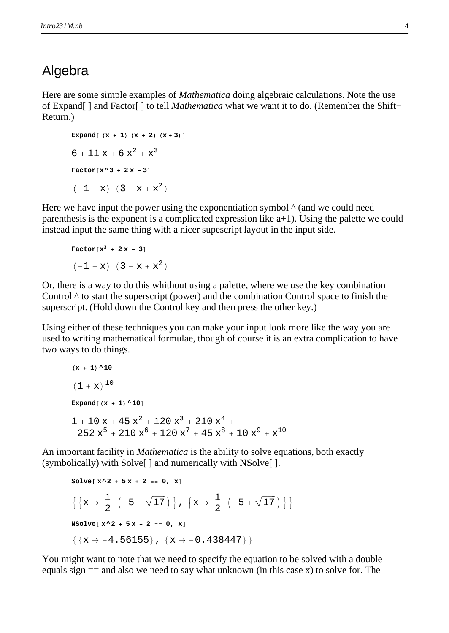#### Algebra

Here are some simple examples of *Mathematica* doing algebraic calculations. Note the use of Expand[ ] and Factor[ ] to tell *Mathematica* what we want it to do. (Remember the Shift− Return.)

```
Expand(x + 1)(x + 2)(x + 3)6 + 11 x + 6 x<sup>2</sup> + x<sup>3</sup>Factor[x^3 + 2x - 3](-1 + x) (3 + x + x^2)
```
Here we have input the power using the exponentiation symbol  $\wedge$  (and we could need parenthesis is the exponent is a complicated expression like a+1). Using the palette we could instead input the same thing with a nicer supescript layout in the input side.

Factor[x<sup>3</sup> + 2x - 3]  

$$
(-1 + x) (3 + x + x2)
$$

Or, there is a way to do this whithout using a palette, where we use the key combination Control  $\wedge$  to start the superscript (power) and the combination Control space to finish the superscript. (Hold down the Control key and then press the other key.)

Using either of these techniques you can make your input look more like the way you are used to writing mathematical formulae, though of course it is an extra complication to have two ways to do things.

```
(\mathbf{x} + 1) ^10
(1 + x)^{10}\text{Expand}[(x + 1)<sup>10</sup>
1 + 10 x + 45 x^2 + 120 x^3 + 210 x^4 +252 x^5 + 210 x^6 + 120 x^7 + 45 x^8 + 10 x^9 + x^{10}
```
An important facility in *Mathematica* is the ability to solve equations, both exactly (symbolically) with Solve[ ] and numerically with NSolve[ ].

```
Solve [ x^2 + 5x + 2 == 0, x]\left\{ \left\{ x\rightarrow \frac{1}{2}\right\}\frac{1}{2} \left(-5 - \sqrt{17}\right), \left\{x \rightarrow \frac{1}{2}\right\}\frac{1}{2} \left(-5 + \sqrt{17}\right)\right\}NSolve [ X^2 + 5X + 2 == 0, X]\{x \rightarrow -4.56155\}, \{x \rightarrow -0.438447\}\}
```
You might want to note that we need to specify the equation to be solved with a double equals sign  $==$  and also we need to say what unknown (in this case x) to solve for. The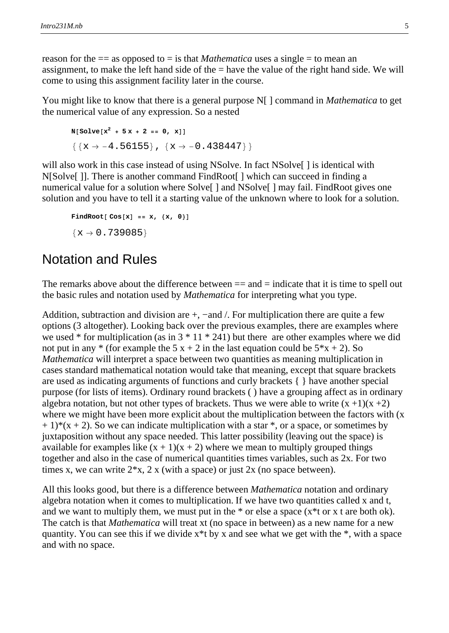reason for the  $==$  as opposed to  $=$  is that *Mathematica* uses a single  $=$  to mean an assignment, to make the left hand side of the = have the value of the right hand side. We will come to using this assignment facility later in the course.

 $\overline{Y}$  and to specify that we need to specify the equation to specify the equation to be solved with a double

You might like to know that there is a general purpose N[ ] command in *Mathematica* to get the numerical value of any expression. So a nested

```
N[\text{Solve}[\mathbf{x}^2 + 5\mathbf{x} + 2 = 0, \mathbf{x}]]\{x \rightarrow -4.56155\}, \{x \rightarrow -0.438447\}\}
```
will also work in this case instead of using NSolve. In fact NSolve [] is identical with N[Solve[ ]]. There is another command FindRoot[ ] which can succeed in finding a numerical value for a solution where Solve<sup>[]</sup> and NSolve<sup>[]</sup> may fail. FindRoot gives one solution and you have to tell it a starting value of the unknown where to look for a solution.

 $\text{FindRoot} [\text{Cos}[x] == x, \{x, 0\}]$  $\{x \rightarrow 0.739085\}$ 

#### Notation and Rules

The remarks above about the difference between  $==$  and  $=$  indicate that it is time to spell out the basic rules and notation used by *Mathematica* for interpreting what you type.

Addition, subtraction and division are  $+$ ,  $-$ and  $/$ . For multiplication there are quite a few options (3 altogether). Looking back over the previous examples, there are examples where we used  $*$  for multiplication (as in  $3 * 11 * 241$ ) but there are other examples where we did not put in any  $*$  (for example the 5 x + 2 in the last equation could be  $5*x + 2$ ). So *Mathematica* will interpret a space between two quantities as meaning multiplication in cases standard mathematical notation would take that meaning, except that square brackets are used as indicating arguments of functions and curly brackets { } have another special purpose (for lists of items). Ordinary round brackets ( ) have a grouping affect as in ordinary algebra notation, but not other types of brackets. Thus we were able to write  $(x +1)(x +2)$ where we might have been more explicit about the multiplication between the factors with (x  $+ 1$ <sup>\*</sup>(x + 2). So we can indicate multiplication with a star  $*$ , or a space, or sometimes by juxtaposition without any space needed. This latter possibility (leaving out the space) is available for examples like  $(x + 1)(x + 2)$  where we mean to multiply grouped things together and also in the case of numerical quantities times variables, such as 2x. For two times x, we can write  $2*x$ , 2 x (with a space) or just 2x (no space between).

All this looks good, but there is a difference between *Mathematica* notation and ordinary algebra notation when it comes to multiplication. If we have two quantities called x and t, and we want to multiply them, we must put in the  $*$  or else a space ( $x*t$  or x t are both ok). The catch is that *Mathematica* will treat xt (no space in between) as a new name for a new quantity. You can see this if we divide x\*t by x and see what we get with the \*, with a space and with no space.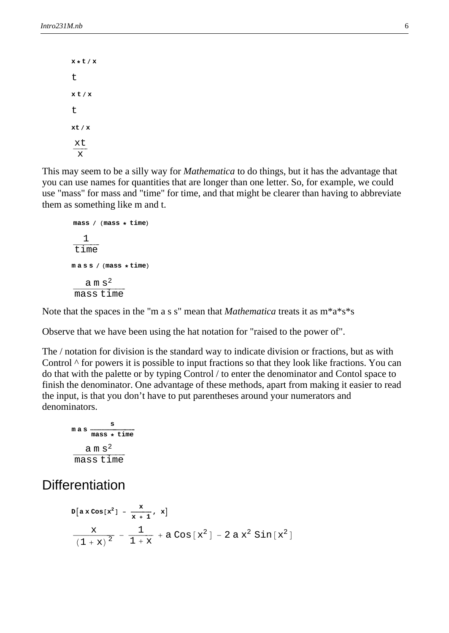**<sup>x</sup> \* <sup>t</sup> <sup>x</sup>**  $\ddot{}$ **x t x** t **xt x** xt x

This may seem to be a silly way for *Mathematica* to do things, but it has the advantage that you can use names for quantities that are longer than one letter. So, for example, we could use "mass" for mass and "time" for time, and that might be clearer than having to abbreviate them as something like m and t.

```
\text{mass /} (mass \star time)
     1
 \frac{1}{1 + \frac{1}{1 + \cdots}}time
ma s s / (mass \star time)
      a m \mathbf{s}^2\frac{a \ln s}{s}mass time
```
Note that the spaces in the "m a s s" mean that *Mathematica* treats it as m\*a\*s\*s

Observe that we have been using the hat notation for "raised to the power of".

The / notation for division is the standard way to indicate division or fractions, but as with Control  $\wedge$  for powers it is possible to input fractions so that they look like fractions. You can do that with the palette or by typing Control / to enter the denominator and Contol space to finish the denominator. One advantage of these methods, apart from making it easier to read the input, is that you don't have to put parentheses around your numerators and denominators.

$$
\frac{\text{mass}}{\text{mass} + \text{time}}
$$
\n
$$
\frac{\text{a m s}^2}{\text{mass time}}
$$

#### **Differentiation**

$$
D[a \times \cos[x^{2}] - \frac{x}{x+1}, x]
$$
  

$$
\frac{X}{(1+x)^{2}} - \frac{1}{1+x} + a \cos[x^{2}] - 2ax^{2} \sin[x^{2}]
$$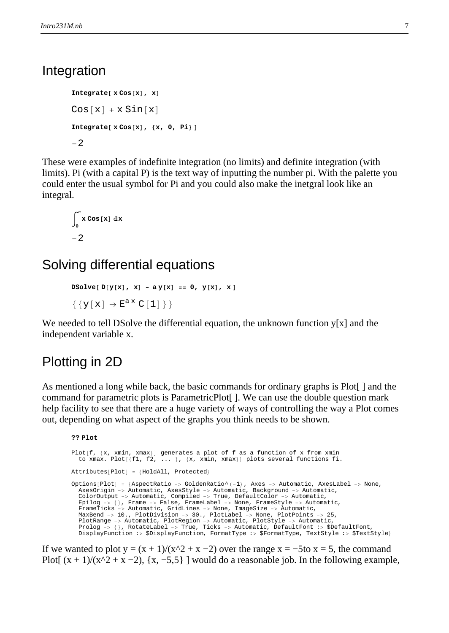#### Integration

 $Integrate [ x Cos [x], x]$  $Cos[x] + x Sin[x]$  $Integrate [ x Cos[x], {x, 0, Pi}]$ -2

These were examples of indefinite integration (no limits) and definite integration (with limits). Pi (with a capital P) is the text way of inputting the number pi. With the palette you could enter the usual symbol for Pi and you could also make the inetgral look like an integral.

```
à
 0
  π<br>
x Cos [x] dx
-2
```
### Solving differential equations

```
DSolve[D[y[x], x] - ay[x] == 0, y[x], x]\{\,\{\gamma\,[\,x\,]\,\rightarrow\,E^{a\,x}\;C\,[\,1\,]\,\}\,\}
```
We needed to tell DSolve the differential equation, the unknown function y[x] and the independent variable x.

### Plotting in 2D

As mentioned a long while back, the basic commands for ordinary graphs is Plot[ ] and the command for parametric plots is ParametricPlot[ ]. We can use the double question mark help facility to see that there are a huge variety of ways of controlling the way a Plot comes out, depending on what aspect of the graphs you think needs to be shown.

```
?? Plot
Plot[f, \{x, xmin, xmax\}] generates a plot of f as a function of x from xmin
  to xmax. Plot[\{f1, f2, \ldots\}, \{x, xmin, xmax\}] plots several functions fi.
Attributes[Plot] = {HoldAll, protected}Options[Plot] = {AspectRatio -> GoldenRatio^(-1)}, Axes -> Automatic, AxesLabel -> None,
  AxesOrigin -> Automatic, AxesStyle -> Automatic, Background -> Automatic,
  ColorOutput -> Automatic, Compiled -> True, DefaultColor -> Automatic,
  Epilog -> {}, Frame -> False, FrameLabel -> None, FrameStyle -> Automatic,<br>FrameTicks -> Automatic, GridLines -> None, ImageSize -> Automatic,
  MaxBend -> 10., PlotDivision -> 30., PlotLabel -> None, PlotPoints -> 25,
  PlotRange -> Automatic, PlotRegion -> Automatic, PlotStyle -> Automatic,
  Prolog \rightarrow \rightarrow RotateLabel -> True, Ticks -> Automatic, DefaultFont :> $DefaultFont,
  DisplayFunction :> $DisplayFunction, FormatType :> $FormatType, TextStyle :> $TextStyle<
```
If we wanted to plot  $y = (x + 1)/(x^2 + x - 2)$  over the range  $x = -5$  to  $x = 5$ , the command Plot[  $(x + 1)/(x^2 + x - 2)$ ,  $\{x, -5, 5\}$  ] would do a reasonable job. In the following example,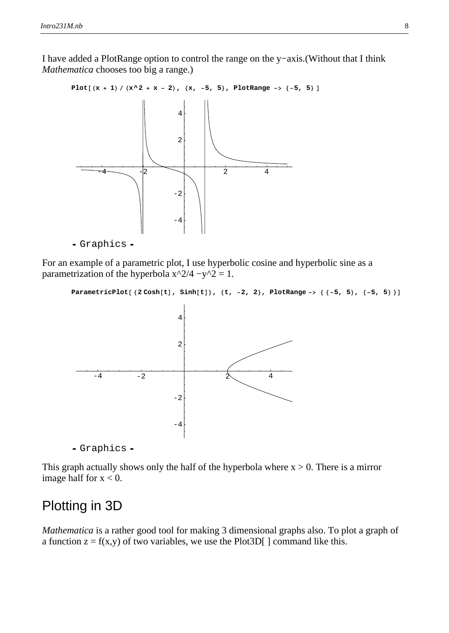I have added a PlotRange option to control the range on the y−axis. (Without that I think *Mathematica* chooses too big a range.)

If we wanted to plot y  $\mathcal{I}(\mathcal{X})$  and  $\mathcal{I}(\mathcal{X})$  over the range  $\mathcal{I}(\mathcal{X})$  over the community  $\mathcal{I}(\mathcal{X})$ 



For an example of a parametric plot, I use hyperbolic cosine and hyperbolic sine as a parametrization of the hyperbola  $x^2/4 - y^2 = 1$ .

```
ParametricPlot[{2 \cosh[t]}, sinh[t]}, {t, -2, 2}, PlotRange -> { -5, 5 }, {-5, 5 }]
```


- Graphics -

This graph actually shows only the half of the hyperbola where  $x > 0$ . There is a mirror image half for  $x < 0$ .

### Plotting in 3D

*Mathematica* is a rather good tool for making 3 dimensional graphs also. To plot a graph of a function  $z = f(x,y)$  of two variables, we use the Plot3D[] command like this.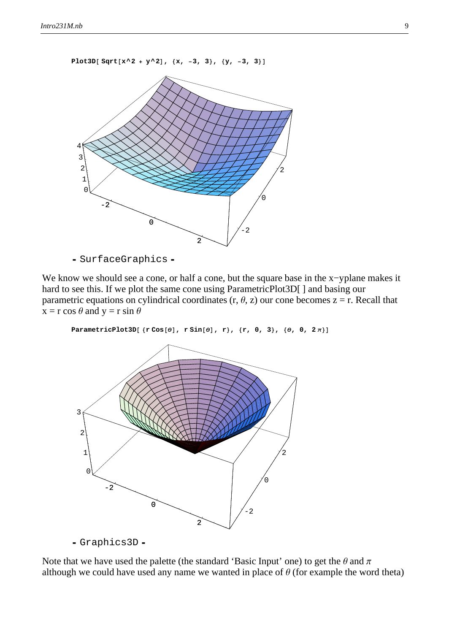**Plot3D** $[$  **Sqrt** $[x^2 + y^2]$ ,  $\{x, -3, 3\}$ ,  $\{y, -3, 3\}$ 



- SurfaceGraphics -

We know we should see a cone, or half a cone, but the square base in the x-yplane makes it hard to see this. If we plot the same cone using ParametricPlot3D[] and basing our parametric equations on cylindrical coordinates (r,  $\theta$ , z) our cone becomes z = r. Recall that  $x = r \cos \theta$  and  $y = r \sin \theta$ 

ParametricPlot3D[ $\{r \cos[\theta], r \sin[\theta], r\}$ ,  $\{r, 0, 3\}$ ,  $\{\theta, 0, 2\pi\}$ ]



Graphics3D

Note that we have used the palette (the standard 'Basic Input' one) to get the  $\theta$  and  $\pi$ although we could have used any name we wanted in place of  $\theta$  (for example the word theta)